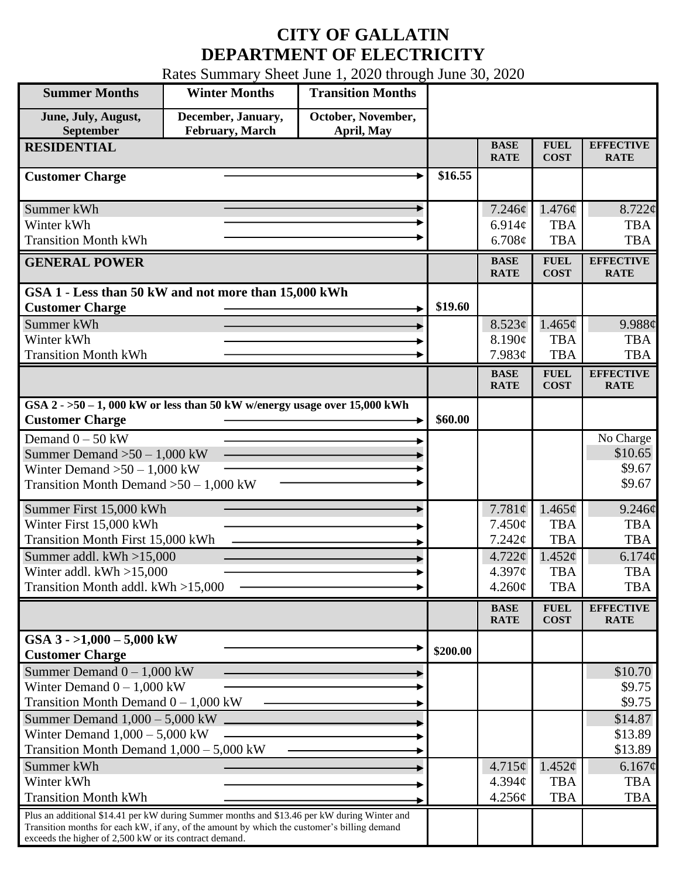## **CITY OF GALLATIN DEPARTMENT OF ELECTRICITY**

Rates Summary Sheet June 1, 2020 through June 30, 2020

| <b>Summer Months</b>                                                                                                                                                                                                                                 | <b>Winter Months</b>                  | <b>Transition Months</b>         |          |                              |                            |                                 |
|------------------------------------------------------------------------------------------------------------------------------------------------------------------------------------------------------------------------------------------------------|---------------------------------------|----------------------------------|----------|------------------------------|----------------------------|---------------------------------|
| June, July, August,<br>September                                                                                                                                                                                                                     | December, January,<br>February, March | October, November,<br>April, May |          |                              |                            |                                 |
| <b>RESIDENTIAL</b>                                                                                                                                                                                                                                   |                                       |                                  |          | <b>BASE</b><br><b>RATE</b>   | <b>FUEL</b><br><b>COST</b> | <b>EFFECTIVE</b><br><b>RATE</b> |
| <b>Customer Charge</b>                                                                                                                                                                                                                               |                                       |                                  | \$16.55  |                              |                            |                                 |
| Summer kWh<br>Winter kWh                                                                                                                                                                                                                             |                                       |                                  |          | 7.246¢                       | 1.476¢<br><b>TBA</b>       | $8.722$ ¢<br><b>TBA</b>         |
| <b>Transition Month kWh</b>                                                                                                                                                                                                                          |                                       |                                  |          | $6.914\mathcal{C}$<br>6.708¢ | <b>TBA</b>                 | <b>TBA</b>                      |
| <b>GENERAL POWER</b>                                                                                                                                                                                                                                 |                                       |                                  |          | <b>BASE</b><br><b>RATE</b>   | <b>FUEL</b><br><b>COST</b> | <b>EFFECTIVE</b><br><b>RATE</b> |
| GSA 1 - Less than 50 kW and not more than 15,000 kWh<br><b>Customer Charge</b>                                                                                                                                                                       |                                       |                                  | \$19.60  |                              |                            |                                 |
| Summer kWh                                                                                                                                                                                                                                           |                                       |                                  |          | 8.523¢                       | 1.465¢                     | 9.988¢                          |
| Winter kWh                                                                                                                                                                                                                                           |                                       |                                  |          | 8.190¢                       | <b>TBA</b>                 | <b>TBA</b>                      |
| <b>Transition Month kWh</b>                                                                                                                                                                                                                          |                                       |                                  |          | 7.983¢                       | <b>TBA</b>                 | <b>TBA</b>                      |
|                                                                                                                                                                                                                                                      |                                       |                                  |          | <b>BASE</b><br><b>RATE</b>   | <b>FUEL</b><br><b>COST</b> | <b>EFFECTIVE</b><br><b>RATE</b> |
| GSA $2 - 50 - 1$ , 000 kW or less than 50 kW w/energy usage over 15,000 kWh<br><b>Customer Charge</b>                                                                                                                                                |                                       |                                  | \$60.00  |                              |                            |                                 |
|                                                                                                                                                                                                                                                      |                                       |                                  |          |                              |                            |                                 |
| Demand $0 - 50$ kW                                                                                                                                                                                                                                   |                                       |                                  |          |                              |                            | No Charge<br>\$10.65            |
| Summer Demand $>50 - 1,000$ kW<br>Winter Demand $>50 - 1,000$ kW                                                                                                                                                                                     |                                       |                                  |          |                              |                            | \$9.67                          |
| Transition Month Demand $>50-1,000$ kW                                                                                                                                                                                                               |                                       |                                  |          |                              |                            | \$9.67                          |
| Summer First 15,000 kWh                                                                                                                                                                                                                              |                                       |                                  |          | 7.781 $\phi$                 | $1.465\phi$                | 9.246¢                          |
| Winter First 15,000 kWh                                                                                                                                                                                                                              |                                       |                                  |          | $7.450\phi$                  | <b>TBA</b>                 | <b>TBA</b>                      |
| Transition Month First 15,000 kWh                                                                                                                                                                                                                    |                                       |                                  |          | 7.242¢                       | <b>TBA</b>                 | <b>TBA</b>                      |
| Summer addl. $kWh > 15,000$                                                                                                                                                                                                                          |                                       |                                  |          | $4.722 \phi$                 | 1.452¢                     | 6.174¢                          |
| Winter addl. $kWh > 15,000$                                                                                                                                                                                                                          |                                       |                                  |          | $4.397\phi$                  | <b>TBA</b>                 | <b>TBA</b>                      |
| Transition Month addl. kWh >15,000                                                                                                                                                                                                                   |                                       |                                  |          | $4.260\phi$                  | <b>TBA</b>                 | <b>TBA</b>                      |
|                                                                                                                                                                                                                                                      |                                       |                                  |          | <b>BASE</b><br><b>RATE</b>   | <b>FUEL</b><br><b>COST</b> | <b>EFFECTIVE</b><br><b>RATE</b> |
| GSA $3 - 1,000 - 5,000$ kW                                                                                                                                                                                                                           |                                       |                                  | \$200.00 |                              |                            |                                 |
| <b>Customer Charge</b>                                                                                                                                                                                                                               |                                       |                                  |          |                              |                            |                                 |
| Summer Demand $0 - 1,000$ kW<br>Winter Demand $0 - 1,000$ kW                                                                                                                                                                                         |                                       |                                  |          |                              |                            | \$10.70<br>\$9.75               |
| Transition Month Demand $0 - 1,000$ kW                                                                                                                                                                                                               |                                       |                                  |          |                              |                            | \$9.75                          |
| Summer Demand $1,000 - 5,000$ kW.                                                                                                                                                                                                                    |                                       |                                  |          |                              |                            | \$14.87                         |
| Winter Demand $1,000 - 5,000$ kW                                                                                                                                                                                                                     |                                       |                                  |          |                              |                            | \$13.89                         |
| Transition Month Demand $1,000 - 5,000$ kW                                                                                                                                                                                                           |                                       |                                  |          |                              |                            | \$13.89                         |
| Summer kWh                                                                                                                                                                                                                                           |                                       |                                  |          | $4.715\phi$                  | 1.452¢                     | 6.167¢                          |
| Winter kWh                                                                                                                                                                                                                                           |                                       |                                  |          | $4.394\mathcal{C}$           | <b>TBA</b>                 | <b>TBA</b>                      |
| <b>Transition Month kWh</b>                                                                                                                                                                                                                          |                                       |                                  |          | $4.256\phi$                  | <b>TBA</b>                 | <b>TBA</b>                      |
| Plus an additional \$14.41 per kW during Summer months and \$13.46 per kW during Winter and<br>Transition months for each kW, if any, of the amount by which the customer's billing demand<br>exceeds the higher of 2,500 kW or its contract demand. |                                       |                                  |          |                              |                            |                                 |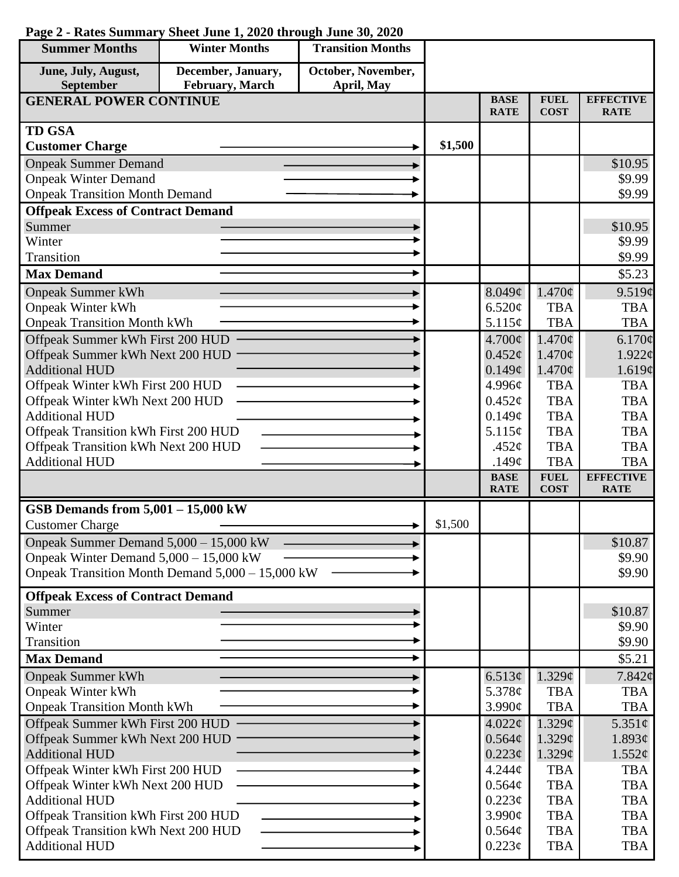| <b>Summer Months</b>                     | <b>Winter Months</b>                             | <b>Transition Months</b> |         |                            |                            |                                 |
|------------------------------------------|--------------------------------------------------|--------------------------|---------|----------------------------|----------------------------|---------------------------------|
| June, July, August,                      | December, January,                               | October, November,       |         |                            |                            |                                 |
| September                                | February, March                                  | April, May               |         |                            |                            |                                 |
| <b>GENERAL POWER CONTINUE</b>            |                                                  |                          |         | <b>BASE</b><br><b>RATE</b> | <b>FUEL</b><br><b>COST</b> | <b>EFFECTIVE</b><br><b>RATE</b> |
| <b>TD GSA</b>                            |                                                  |                          |         |                            |                            |                                 |
| <b>Customer Charge</b>                   |                                                  |                          | \$1,500 |                            |                            |                                 |
| <b>Onpeak Summer Demand</b>              |                                                  |                          |         |                            |                            | \$10.95                         |
| <b>Onpeak Winter Demand</b>              |                                                  |                          |         |                            |                            | \$9.99                          |
| <b>Onpeak Transition Month Demand</b>    |                                                  |                          |         |                            |                            | \$9.99                          |
| <b>Offpeak Excess of Contract Demand</b> |                                                  |                          |         |                            |                            |                                 |
| Summer                                   |                                                  |                          |         |                            |                            | \$10.95                         |
| Winter                                   |                                                  |                          |         |                            |                            | \$9.99                          |
| Transition                               |                                                  |                          |         |                            |                            | \$9.99                          |
| <b>Max Demand</b>                        |                                                  |                          |         |                            |                            | \$5.23                          |
| <b>Onpeak Summer kWh</b>                 |                                                  |                          |         | 8.049¢                     | $1.470\phi$                | 9.519¢                          |
| <b>Onpeak Winter kWh</b>                 |                                                  |                          |         | 6.520¢                     | <b>TBA</b>                 | <b>TBA</b>                      |
| <b>Onpeak Transition Month kWh</b>       |                                                  |                          |         | 5.115¢                     | <b>TBA</b>                 | <b>TBA</b>                      |
| Offpeak Summer kWh First 200 HUD         |                                                  |                          |         | $4.700\ell$                | 1.470¢                     | 6.170¢                          |
| Offpeak Summer kWh Next 200 HUD          |                                                  |                          |         | $0.452\epsilon$            | $1.470\text{¢}$            | $1.922 \phi$                    |
| <b>Additional HUD</b>                    |                                                  |                          |         | 0.149¢                     | $1.470\phi$                | 1.619¢                          |
| Offpeak Winter kWh First 200 HUD         |                                                  |                          |         | 4.996¢                     | <b>TBA</b>                 | <b>TBA</b>                      |
| Offpeak Winter kWh Next 200 HUD          |                                                  |                          |         | $0.452\mathcal{C}$         | <b>TBA</b>                 | <b>TBA</b>                      |
| <b>Additional HUD</b>                    |                                                  |                          |         | 0.149¢                     | <b>TBA</b>                 | <b>TBA</b>                      |
| Offpeak Transition kWh First 200 HUD     |                                                  |                          |         | 5.115¢                     | <b>TBA</b>                 | <b>TBA</b>                      |
| Offpeak Transition kWh Next 200 HUD      |                                                  |                          |         | .452 $\varphi$             | <b>TBA</b>                 | <b>TBA</b>                      |
| <b>Additional HUD</b>                    |                                                  |                          |         | .149 $\phi$                | <b>TBA</b>                 | <b>TBA</b>                      |
|                                          |                                                  |                          |         | <b>BASE</b><br><b>RATE</b> | <b>FUEL</b><br><b>COST</b> | <b>EFFECTIVE</b><br><b>RATE</b> |
| GSB Demands from $5,001 - 15,000$ kW     |                                                  |                          |         |                            |                            |                                 |
| <b>Customer Charge</b>                   |                                                  |                          | \$1,500 |                            |                            |                                 |
| Onpeak Summer Demand 5,000 - 15,000 kW   |                                                  |                          |         |                            |                            | \$10.87                         |
| Onpeak Winter Demand $5,000 - 15,000$ kW |                                                  |                          |         |                            |                            | \$9.90                          |
|                                          | Onpeak Transition Month Demand 5,000 - 15,000 kW |                          |         |                            |                            | \$9.90                          |
| <b>Offpeak Excess of Contract Demand</b> |                                                  |                          |         |                            |                            |                                 |
| Summer                                   |                                                  |                          |         |                            |                            | \$10.87                         |
| Winter                                   |                                                  |                          |         |                            |                            | \$9.90                          |
| Transition                               |                                                  |                          |         |                            |                            | \$9.90                          |
| <b>Max Demand</b>                        |                                                  |                          |         |                            |                            | \$5.21                          |
| <b>Onpeak Summer kWh</b>                 |                                                  |                          |         | 6.513¢                     | 1.329¢                     | 7.842¢                          |
| <b>Onpeak Winter kWh</b>                 |                                                  |                          |         | 5.378 $\phi$               | <b>TBA</b>                 | <b>TBA</b>                      |
| <b>Onpeak Transition Month kWh</b>       |                                                  |                          |         | 3.990¢                     | <b>TBA</b>                 | <b>TBA</b>                      |
| Offpeak Summer kWh First 200 HUD         |                                                  |                          |         | 4.022¢                     | 1.329¢                     | 5.351 $\phi$                    |
| Offpeak Summer kWh Next 200 HUD          |                                                  |                          |         | 0.564¢                     | $1.329\mathcal{C}$         | 1.893¢                          |
| <b>Additional HUD</b>                    |                                                  |                          |         | $0.223\phi$                | 1.329¢                     | 1.552¢                          |
| Offpeak Winter kWh First 200 HUD         |                                                  |                          |         | 4.244¢                     | <b>TBA</b>                 | <b>TBA</b>                      |
| Offpeak Winter kWh Next 200 HUD          |                                                  |                          |         | 0.564¢                     | <b>TBA</b>                 | <b>TBA</b>                      |
| <b>Additional HUD</b>                    |                                                  |                          |         | $0.223\phi$                | <b>TBA</b>                 | <b>TBA</b>                      |
| Offpeak Transition kWh First 200 HUD     |                                                  |                          |         | 3.990¢                     | <b>TBA</b>                 | <b>TBA</b>                      |
| Offpeak Transition kWh Next 200 HUD      |                                                  |                          |         | 0.564¢                     | <b>TBA</b>                 | <b>TBA</b>                      |
| <b>Additional HUD</b>                    |                                                  |                          |         | $0.223\epsilon$            | <b>TBA</b>                 | <b>TBA</b>                      |

## **Page 2 - Rates Summary Sheet June 1, 2020 through June 30, 2020**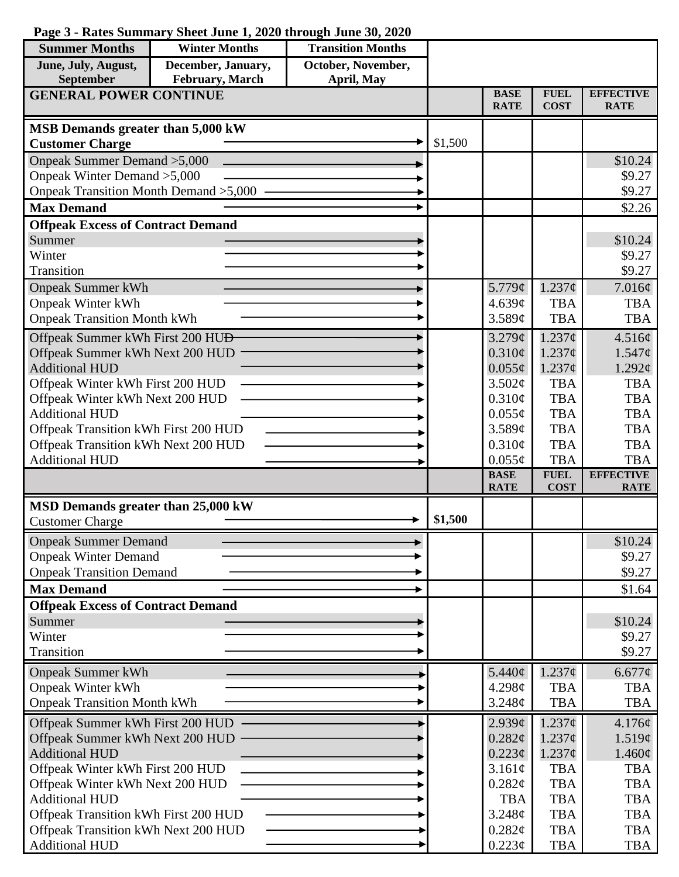| <b>Summer Months</b>                         | <b>Winter Months</b> | <b>Transition Months</b> |         |                            |                            |                                 |
|----------------------------------------------|----------------------|--------------------------|---------|----------------------------|----------------------------|---------------------------------|
| June, July, August,                          | December, January,   | October, November,       |         |                            |                            |                                 |
| <b>September</b>                             | February, March      | April, May               |         |                            |                            |                                 |
| <b>GENERAL POWER CONTINUE</b>                |                      |                          |         | <b>BASE</b><br><b>RATE</b> | <b>FUEL</b><br><b>COST</b> | <b>EFFECTIVE</b><br><b>RATE</b> |
|                                              |                      |                          |         |                            |                            |                                 |
| MSB Demands greater than 5,000 kW            |                      |                          |         |                            |                            |                                 |
| <b>Customer Charge</b>                       |                      |                          | \$1,500 |                            |                            |                                 |
| Onpeak Summer Demand > 5,000                 |                      |                          |         |                            |                            | \$10.24                         |
| Onpeak Winter Demand > 5,000                 |                      |                          |         |                            |                            | \$9.27                          |
| Onpeak Transition Month Demand > 5,000       |                      |                          |         |                            |                            | \$9.27                          |
| <b>Max Demand</b>                            |                      |                          |         |                            |                            | \$2.26                          |
| <b>Offpeak Excess of Contract Demand</b>     |                      |                          |         |                            |                            |                                 |
| Summer                                       |                      |                          |         |                            |                            | \$10.24                         |
| Winter                                       |                      |                          |         |                            |                            | \$9.27                          |
| Transition                                   |                      |                          |         |                            |                            | \$9.27                          |
| <b>Onpeak Summer kWh</b>                     |                      |                          |         | 5.779¢                     | $1.237$ ¢                  | 7.016¢                          |
| <b>Onpeak Winter kWh</b>                     |                      |                          |         | 4.639¢                     | <b>TBA</b>                 | <b>TBA</b>                      |
| <b>Onpeak Transition Month kWh</b>           |                      |                          |         | 3.589c                     | <b>TBA</b>                 | <b>TBA</b>                      |
| Offpeak Summer kWh First 200 HU <del>D</del> |                      |                          |         | 3.279¢                     | $1.237\mathcal{C}$         | 4.516¢                          |
| Offpeak Summer kWh Next 200 HUD              |                      |                          |         | $0.310\phi$                | $1.237\mathcal{C}$         | $1.547\phi$                     |
| <b>Additional HUD</b>                        |                      |                          |         | $0.055\phi$                | $1.237\phi$                | $1.292\ell$                     |
| Offpeak Winter kWh First 200 HUD             |                      |                          |         | 3.502¢                     | <b>TBA</b>                 | <b>TBA</b>                      |
| Offpeak Winter kWh Next 200 HUD              |                      |                          |         | 0.310¢                     | <b>TBA</b>                 | <b>TBA</b>                      |
| <b>Additional HUD</b>                        |                      |                          |         | $0.055\phi$                | <b>TBA</b>                 | <b>TBA</b>                      |
| Offpeak Transition kWh First 200 HUD         |                      |                          |         | 3.589¢                     | <b>TBA</b>                 | <b>TBA</b>                      |
| Offpeak Transition kWh Next 200 HUD          |                      |                          |         | 0.310¢                     | <b>TBA</b>                 | <b>TBA</b>                      |
| <b>Additional HUD</b>                        |                      |                          |         | $0.055\phi$                | <b>TBA</b>                 | <b>TBA</b>                      |
|                                              |                      |                          |         | <b>BASE</b>                | <b>FUEL</b>                | <b>EFFECTIVE</b>                |
|                                              |                      |                          |         | <b>RATE</b>                | <b>COST</b>                | <b>RATE</b>                     |
| MSD Demands greater than 25,000 kW           |                      |                          |         |                            |                            |                                 |
| <b>Customer Charge</b>                       |                      |                          | \$1,500 |                            |                            |                                 |
| <b>Onpeak Summer Demand</b>                  |                      |                          |         |                            |                            | \$10.24                         |
| <b>Onpeak Winter Demand</b>                  |                      |                          |         |                            |                            | \$9.27                          |
| <b>Onpeak Transition Demand</b>              |                      |                          |         |                            |                            | \$9.27                          |
| <b>Max Demand</b>                            |                      |                          |         |                            |                            | \$1.64                          |
| <b>Offpeak Excess of Contract Demand</b>     |                      |                          |         |                            |                            |                                 |
| Summer                                       |                      |                          |         |                            |                            | \$10.24                         |
| Winter                                       |                      |                          |         |                            |                            | \$9.27                          |
| Transition                                   |                      |                          |         |                            |                            | \$9.27                          |
| <b>Onpeak Summer kWh</b>                     |                      |                          |         | 5.440¢                     | $1.237\phi$                | 6.677¢                          |
| <b>Onpeak Winter kWh</b>                     |                      |                          |         | 4.298c                     | <b>TBA</b>                 | <b>TBA</b>                      |
| <b>Onpeak Transition Month kWh</b>           |                      |                          |         | 3.248¢                     | <b>TBA</b>                 | <b>TBA</b>                      |
| Offpeak Summer kWh First 200 HUD             |                      |                          |         | 2.939¢                     | $1.237\phi$                | 4.176¢                          |
| Offpeak Summer kWh Next 200 HUD              |                      |                          |         | 0.282¢                     | $1.237\phi$                | 1.519¢                          |
| <b>Additional HUD</b>                        |                      |                          |         | $0.223\phi$                | $1.237\phi$                | $1.460\phi$                     |
| Offpeak Winter kWh First 200 HUD             |                      |                          |         | 3.161¢                     | <b>TBA</b>                 | <b>TBA</b>                      |
| Offpeak Winter kWh Next 200 HUD              |                      |                          |         | 0.282¢                     | <b>TBA</b>                 | <b>TBA</b>                      |
| <b>Additional HUD</b>                        |                      |                          |         | <b>TBA</b>                 | <b>TBA</b>                 | <b>TBA</b>                      |
| Offpeak Transition kWh First 200 HUD         |                      |                          |         | 3.248¢                     | <b>TBA</b>                 | <b>TBA</b>                      |
| Offpeak Transition kWh Next 200 HUD          |                      |                          |         | 0.282¢                     | <b>TBA</b>                 | <b>TBA</b>                      |
| <b>Additional HUD</b>                        |                      |                          |         | 0.223¢                     | <b>TBA</b>                 | <b>TBA</b>                      |

## **Page 3 - Rates Summary Sheet June 1, 2020 through June 30, 2020**